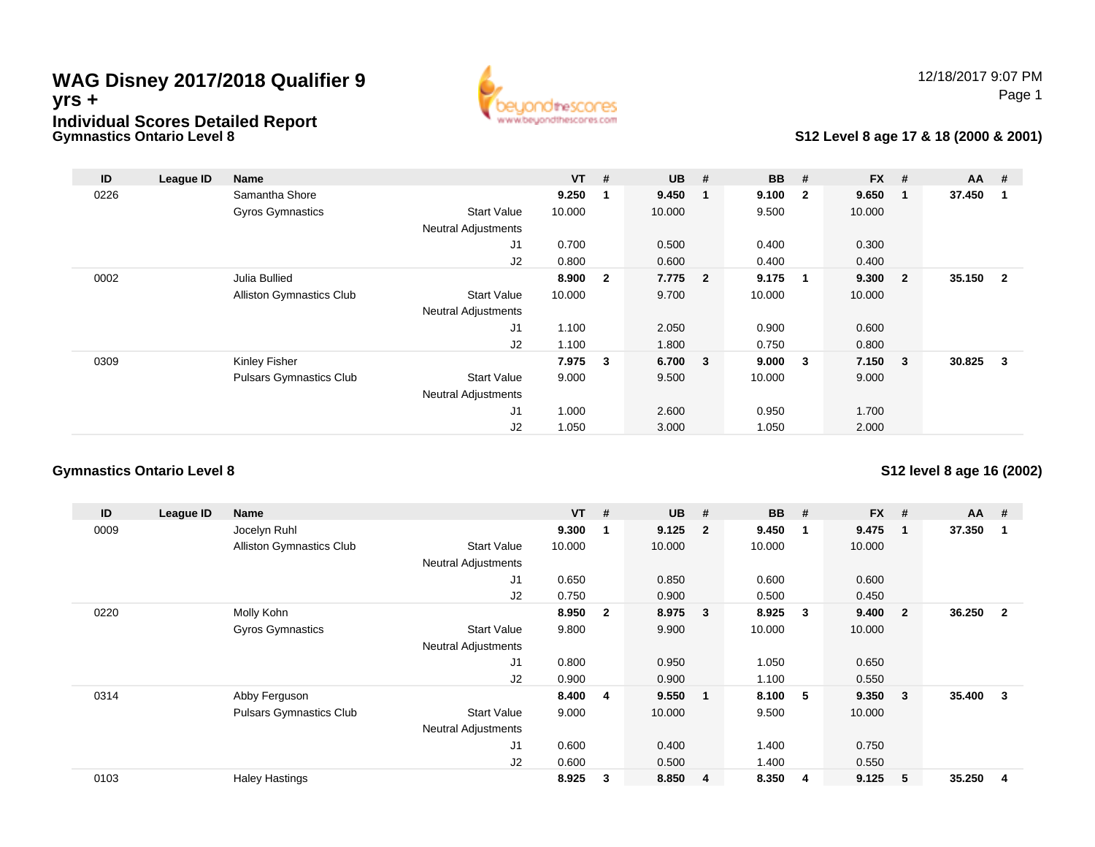## **Gymnastics Ontario Level 8WAG Disney 2017/2018 Qualifier 9yrs +Individual Scores Detailed Report**



# **S12 Level 8 age 17 & 18 (2000 & 2001)**

| ID   | League ID | <b>Name</b>                    |                            | $VT$ # |                         | $UB$ #  |    | <b>BB</b> | #                       | <b>FX</b> | #                       | <b>AA</b> | #              |
|------|-----------|--------------------------------|----------------------------|--------|-------------------------|---------|----|-----------|-------------------------|-----------|-------------------------|-----------|----------------|
| 0226 |           | Samantha Shore                 |                            | 9.250  | $\mathbf{1}$            | 9.450   | -1 | 9.100     | $\overline{\mathbf{2}}$ | 9.650     | -1                      | 37.450    |                |
|      |           | Gyros Gymnastics               | <b>Start Value</b>         | 10.000 |                         | 10.000  |    | 9.500     |                         | 10.000    |                         |           |                |
|      |           |                                | <b>Neutral Adjustments</b> |        |                         |         |    |           |                         |           |                         |           |                |
|      |           |                                | J1                         | 0.700  |                         | 0.500   |    | 0.400     |                         | 0.300     |                         |           |                |
|      |           |                                | J2                         | 0.800  |                         | 0.600   |    | 0.400     |                         | 0.400     |                         |           |                |
| 0002 |           | Julia Bullied                  |                            | 8.900  | $\overline{\mathbf{2}}$ | 7.775 2 |    | 9.175     | $\blacksquare$          | 9.300     | $\overline{\mathbf{2}}$ | 35.150    | $\overline{2}$ |
|      |           | Alliston Gymnastics Club       | <b>Start Value</b>         | 10.000 |                         | 9.700   |    | 10.000    |                         | 10.000    |                         |           |                |
|      |           |                                | <b>Neutral Adjustments</b> |        |                         |         |    |           |                         |           |                         |           |                |
|      |           |                                | J1                         | 1.100  |                         | 2.050   |    | 0.900     |                         | 0.600     |                         |           |                |
|      |           |                                | J2                         | 1.100  |                         | 1.800   |    | 0.750     |                         | 0.800     |                         |           |                |
| 0309 |           | Kinley Fisher                  |                            | 7.975  | $\overline{\mathbf{3}}$ | 6.700 3 |    | 9.000     | $\overline{\mathbf{3}}$ | 7.150     | $\overline{\mathbf{3}}$ | 30.825    | 3              |
|      |           | <b>Pulsars Gymnastics Club</b> | <b>Start Value</b>         | 9.000  |                         | 9.500   |    | 10.000    |                         | 9.000     |                         |           |                |
|      |           |                                | <b>Neutral Adjustments</b> |        |                         |         |    |           |                         |           |                         |           |                |
|      |           |                                | J1                         | 1.000  |                         | 2.600   |    | 0.950     |                         | 1.700     |                         |           |                |
|      |           |                                | J <sub>2</sub>             | 1.050  |                         | 3.000   |    | 1.050     |                         | 2.000     |                         |           |                |

#### **Gymnastics Ontario Level 8**

**S12 level 8 age 16 (2002)**

| ID   | League ID | Name                            |                            | $VT$ # |                         | <b>UB</b> | #                       | <b>BB</b> | #           | <b>FX</b> | #              | $AA$ # |                |
|------|-----------|---------------------------------|----------------------------|--------|-------------------------|-----------|-------------------------|-----------|-------------|-----------|----------------|--------|----------------|
| 0009 |           | Jocelyn Ruhl                    |                            | 9.300  |                         | 9.125     | $\overline{\mathbf{2}}$ | 9.450     | $\mathbf 1$ | 9.475     | 1              | 37.350 |                |
|      |           | <b>Alliston Gymnastics Club</b> | <b>Start Value</b>         | 10.000 |                         | 10.000    |                         | 10.000    |             | 10.000    |                |        |                |
|      |           |                                 | <b>Neutral Adjustments</b> |        |                         |           |                         |           |             |           |                |        |                |
|      |           |                                 | J1                         | 0.650  |                         | 0.850     |                         | 0.600     |             | 0.600     |                |        |                |
|      |           |                                 | J <sub>2</sub>             | 0.750  |                         | 0.900     |                         | 0.500     |             | 0.450     |                |        |                |
| 0220 |           | Molly Kohn                      |                            | 8.950  | $\overline{\mathbf{2}}$ | 8.975     | $\overline{\mathbf{3}}$ | 8.925     | -3          | 9.400     | $\overline{2}$ | 36.250 | $\overline{2}$ |
|      |           | Gyros Gymnastics                | <b>Start Value</b>         | 9.800  |                         | 9.900     |                         | 10.000    |             | 10.000    |                |        |                |
|      |           |                                 | <b>Neutral Adjustments</b> |        |                         |           |                         |           |             |           |                |        |                |
|      |           |                                 | J1                         | 0.800  |                         | 0.950     |                         | 1.050     |             | 0.650     |                |        |                |
|      |           |                                 | J <sub>2</sub>             | 0.900  |                         | 0.900     |                         | 1.100     |             | 0.550     |                |        |                |
| 0314 |           | Abby Ferguson                   |                            | 8.400  | $\overline{\mathbf{4}}$ | 9.550     | $\blacksquare$          | 8.100     | -5          | 9.350     | 3              | 35.400 | 3              |
|      |           | <b>Pulsars Gymnastics Club</b>  | <b>Start Value</b>         | 9.000  |                         | 10.000    |                         | 9.500     |             | 10.000    |                |        |                |
|      |           |                                 | <b>Neutral Adjustments</b> |        |                         |           |                         |           |             |           |                |        |                |
|      |           |                                 | J1                         | 0.600  |                         | 0.400     |                         | 1.400     |             | 0.750     |                |        |                |
|      |           |                                 | J2                         | 0.600  |                         | 0.500     |                         | 1.400     |             | 0.550     |                |        |                |
| 0103 |           | <b>Haley Hastings</b>           |                            | 8.925  | 3                       | 8.850     | $\overline{4}$          | 8.350     | -4          | 9.125     | 5              | 35.250 | 4              |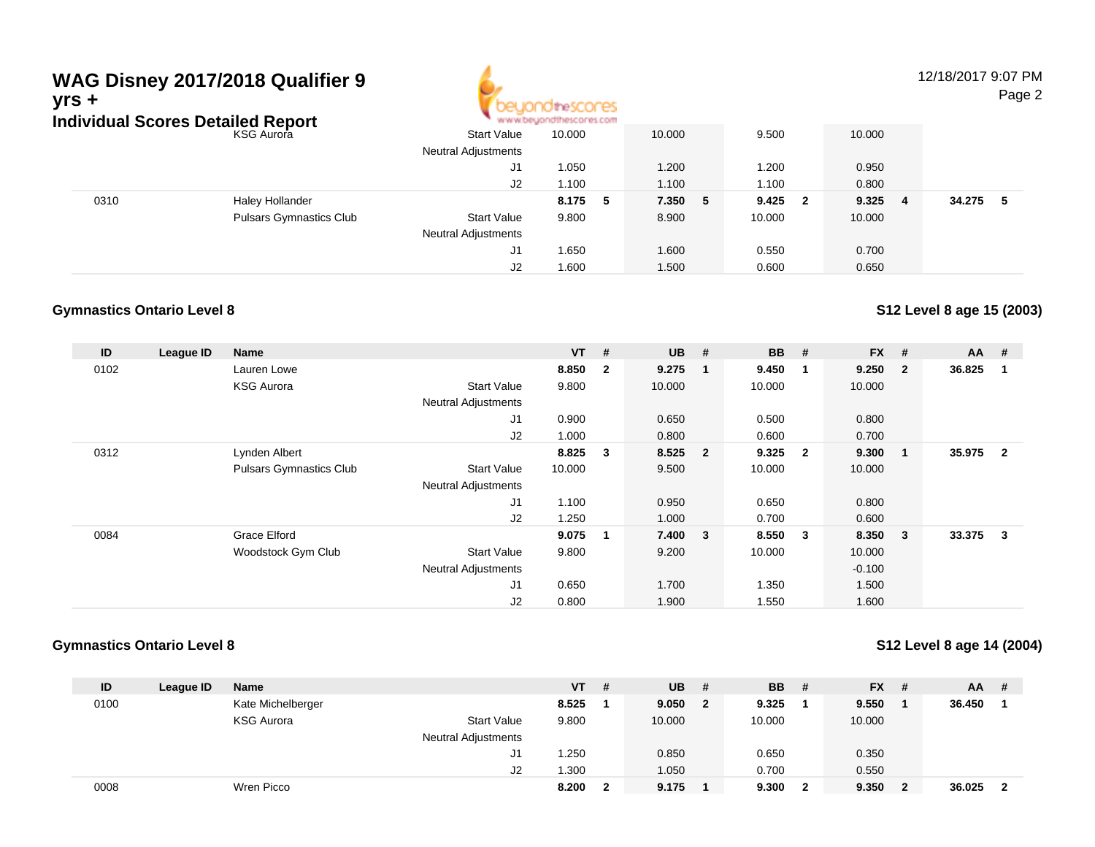| WAG Disney 2017/2018 Qualifier 9<br>yrs +<br><b>Individual Scores Detailed Report</b> |                                |                            |        | 12/18/2017 9:07 PM<br>Page 2 |        |    |                                  |         |  |        |     |
|---------------------------------------------------------------------------------------|--------------------------------|----------------------------|--------|------------------------------|--------|----|----------------------------------|---------|--|--------|-----|
|                                                                                       | <b>KSG Aurora</b>              | <b>Start Value</b>         | 10.000 |                              | 10.000 |    | 9.500                            | 10.000  |  |        |     |
|                                                                                       |                                | <b>Neutral Adjustments</b> |        |                              |        |    |                                  |         |  |        |     |
|                                                                                       |                                | J1                         | 1.050  |                              | 1.200  |    | 1.200                            | 0.950   |  |        |     |
|                                                                                       |                                | J2                         | 1.100  |                              | 1.100  |    | 1.100                            | 0.800   |  |        |     |
| 0310                                                                                  | <b>Haley Hollander</b>         |                            | 8.175  | - 5                          | 7.350  | -5 | 9.425<br>$\overline{\mathbf{2}}$ | 9.325 4 |  | 34.275 | - 5 |
|                                                                                       | <b>Pulsars Gymnastics Club</b> | <b>Start Value</b>         | 9.800  |                              | 8.900  |    | 10.000                           | 10.000  |  |        |     |
|                                                                                       |                                | <b>Neutral Adjustments</b> |        |                              |        |    |                                  |         |  |        |     |
|                                                                                       |                                | J1                         | 1.650  |                              | 1.600  |    | 0.550                            | 0.700   |  |        |     |

J2

1.600 1.500 0.600 0.650

# **Gymnastics Ontario Level 8**

**S12 Level 8 age 15 (2003)**

| ID   | League ID | <b>Name</b>                    |                            | $VT$ # |                | <b>UB</b> | #                       | <b>BB</b> | #                       | <b>FX</b> | #              | $AA$ # |                |
|------|-----------|--------------------------------|----------------------------|--------|----------------|-----------|-------------------------|-----------|-------------------------|-----------|----------------|--------|----------------|
| 0102 |           | Lauren Lowe                    |                            | 8.850  | $\overline{2}$ | 9.275     | - 1                     | 9.450     | $\overline{\mathbf{1}}$ | 9.250     | $\overline{2}$ | 36.825 |                |
|      |           | <b>KSG Aurora</b>              | <b>Start Value</b>         | 9.800  |                | 10.000    |                         | 10.000    |                         | 10.000    |                |        |                |
|      |           |                                | <b>Neutral Adjustments</b> |        |                |           |                         |           |                         |           |                |        |                |
|      |           |                                | J1                         | 0.900  |                | 0.650     |                         | 0.500     |                         | 0.800     |                |        |                |
|      |           |                                | J2                         | 1.000  |                | 0.800     |                         | 0.600     |                         | 0.700     |                |        |                |
| 0312 |           | Lynden Albert                  |                            | 8.825  | 3              | 8.525     | $\overline{\mathbf{2}}$ | 9.325     | $\overline{\mathbf{2}}$ | 9.300     |                | 35.975 | $\overline{2}$ |
|      |           | <b>Pulsars Gymnastics Club</b> | <b>Start Value</b>         | 10.000 |                | 9.500     |                         | 10.000    |                         | 10.000    |                |        |                |
|      |           |                                | <b>Neutral Adjustments</b> |        |                |           |                         |           |                         |           |                |        |                |
|      |           |                                | J1                         | 1.100  |                | 0.950     |                         | 0.650     |                         | 0.800     |                |        |                |
|      |           |                                | J2                         | 1.250  |                | 1.000     |                         | 0.700     |                         | 0.600     |                |        |                |
| 0084 |           | <b>Grace Elford</b>            |                            | 9.075  | $\mathbf 1$    | 7.400 3   |                         | 8.550     | - 3                     | 8.350     | 3              | 33.375 | 3              |
|      |           | Woodstock Gym Club             | <b>Start Value</b>         | 9.800  |                | 9.200     |                         | 10.000    |                         | 10.000    |                |        |                |
|      |           |                                | <b>Neutral Adjustments</b> |        |                |           |                         |           |                         | $-0.100$  |                |        |                |
|      |           |                                | J <sub>1</sub>             | 0.650  |                | 1.700     |                         | 1.350     |                         | 1.500     |                |        |                |
|      |           |                                | J2                         | 0.800  |                | 1.900     |                         | 1.550     |                         | 1.600     |                |        |                |

#### **Gymnastics Ontario Level 8**

**S12 Level 8 age 14 (2004)**

| ID   | League ID | <b>Name</b>       |                     | <b>VT</b> | # | <b>UB</b> | #            | <b>BB</b> | - #          | <b>FX</b> | - #            | <b>AA</b> | #  |
|------|-----------|-------------------|---------------------|-----------|---|-----------|--------------|-----------|--------------|-----------|----------------|-----------|----|
| 0100 |           | Kate Michelberger |                     | 8.525     |   | 9.050     | $\mathbf{2}$ | 9.325     |              | 9.550     |                | 36.450    |    |
|      |           | <b>KSG Aurora</b> | <b>Start Value</b>  | 9.800     |   | 10.000    |              | 10.000    |              | 10.000    |                |           |    |
|      |           |                   | Neutral Adjustments |           |   |           |              |           |              |           |                |           |    |
|      |           |                   | J <sub>1</sub>      | 1.250     |   | 0.850     |              | 0.650     |              | 0.350     |                |           |    |
|      |           |                   | J2                  | 1.300     |   | 1.050     |              | 0.700     |              | 0.550     |                |           |    |
| 0008 |           | Wren Picco        |                     | 8.200     | 2 | 9.175     |              | 9.300     | $\mathbf{2}$ | 9.350     | $\overline{2}$ | 36.025    | -2 |